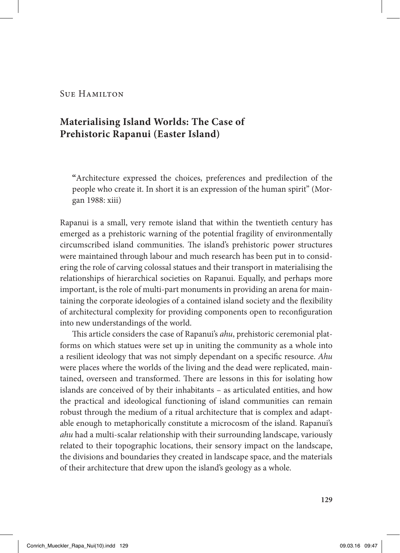# **Materialising Island Worlds: The Case of Prehistoric Rapanui (Easter Island)**

**"**Architecture expressed the choices, preferences and predilection of the people who create it. In short it is an expression of the human spirit" (Morgan 1988: xiii)

Rapanui is a small, very remote island that within the twentieth century has emerged as a prehistoric warning of the potential fragility of environmentally circumscribed island communities. The island's prehistoric power structures were maintained through labour and much research has been put in to considering the role of carving colossal statues and their transport in materialising the relationships of hierarchical societies on Rapanui. Equally, and perhaps more important, is the role of multi-part monuments in providing an arena for maintaining the corporate ideologies of a contained island society and the flexibility of architectural complexity for providing components open to reconfiguration into new understandings of the world.

This article considers the case of Rapanui's *ahu*, prehistoric ceremonial platforms on which statues were set up in uniting the community as a whole into a resilient ideology that was not simply dependant on a specific resource. *Ahu* were places where the worlds of the living and the dead were replicated, maintained, overseen and transformed. There are lessons in this for isolating how islands are conceived of by their inhabitants – as articulated entities, and how the practical and ideological functioning of island communities can remain robust through the medium of a ritual architecture that is complex and adaptable enough to metaphorically constitute a microcosm of the island. Rapanui's *ahu* had a multi-scalar relationship with their surrounding landscape, variously related to their topographic locations, their sensory impact on the landscape, the divisions and boundaries they created in landscape space, and the materials of their architecture that drew upon the island's geology as a whole.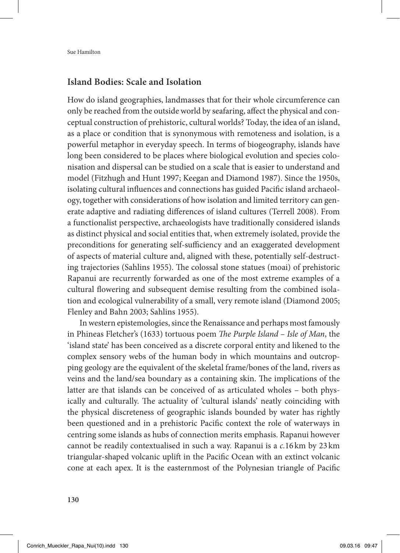### **Island Bodies: Scale and Isolation**

How do island geographies, landmasses that for their whole circumference can only be reached from the outside world by seafaring, affect the physical and conceptual construction of prehistoric, cultural worlds? Today, the idea of an island, as a place or condition that is synonymous with remoteness and isolation, is a powerful metaphor in everyday speech. In terms of biogeography, islands have long been considered to be places where biological evolution and species colonisation and dispersal can be studied on a scale that is easier to understand and model (Fitzhugh and Hunt 1997; Keegan and Diamond 1987). Since the 1950s, isolating cultural influences and connections has guided Pacific island archaeology, together with considerations of how isolation and limited territory can generate adaptive and radiating differences of island cultures (Terrell 2008). From a functionalist perspective, archaeologists have traditionally considered islands as distinct physical and social entities that, when extremely isolated, provide the preconditions for generating self-sufficiency and an exaggerated development of aspects of material culture and, aligned with these, potentially self-destructing trajectories (Sahlins 1955). The colossal stone statues (moai) of prehistoric Rapanui are recurrently forwarded as one of the most extreme examples of a cultural flowering and subsequent demise resulting from the combined isolation and ecological vulnerability of a small, very remote island (Diamond 2005; Flenley and Bahn 2003; Sahlins 1955).

In western epistemologies, since the Renaissance and perhaps most famously in Phineas Fletcher's (1633) tortuous poem *The Purple Island – Isle of Man*, the 'island state' has been conceived as a discrete corporal entity and likened to the complex sensory webs of the human body in which mountains and outcropping geology are the equivalent of the skeletal frame/bones of the land, rivers as veins and the land/sea boundary as a containing skin. The implications of the latter are that islands can be conceived of as articulated wholes – both physically and culturally. The actuality of 'cultural islands' neatly coinciding with the physical discreteness of geographic islands bounded by water has rightly been questioned and in a prehistoric Pacific context the role of waterways in centring some islands as hubs of connection merits emphasis. Rapanui however cannot be readily contextualised in such a way. Rapanui is a *c.*16 km by 23 km triangular-shaped volcanic uplift in the Pacific Ocean with an extinct volcanic cone at each apex. It is the easternmost of the Polynesian triangle of Pacific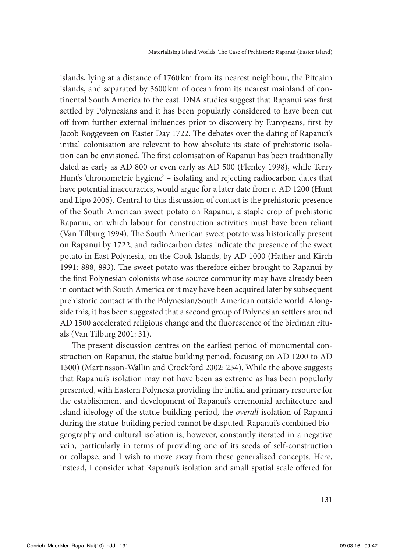islands, lying at a distance of 1760km from its nearest neighbour, the Pitcairn islands, and separated by 3600 km of ocean from its nearest mainland of continental South America to the east. DNA studies suggest that Rapanui was first settled by Polynesians and it has been popularly considered to have been cut off from further external influences prior to discovery by Europeans, first by Jacob Roggeveen on Easter Day 1722. The debates over the dating of Rapanui's initial colonisation are relevant to how absolute its state of prehistoric isolation can be envisioned. The first colonisation of Rapanui has been traditionally dated as early as AD 800 or even early as AD 500 (Flenley 1998), while Terry Hunt's 'chronometric hygiene' – isolating and rejecting radiocarbon dates that have potential inaccuracies, would argue for a later date from *c.* AD 1200 (Hunt and Lipo 2006). Central to this discussion of contact is the prehistoric presence of the South American sweet potato on Rapanui, a staple crop of prehistoric Rapanui, on which labour for construction activities must have been reliant (Van Tilburg 1994). The South American sweet potato was historically present on Rapanui by 1722, and radiocarbon dates indicate the presence of the sweet potato in East Polynesia, on the Cook Islands, by AD 1000 (Hather and Kirch 1991: 888, 893). The sweet potato was therefore either brought to Rapanui by the first Polynesian colonists whose source community may have already been in contact with South America or it may have been acquired later by subsequent prehistoric contact with the Polynesian/South American outside world. Alongside this, it has been suggested that a second group of Polynesian settlers around AD 1500 accelerated religious change and the fluorescence of the birdman rituals (Van Tilburg 2001: 31).

The present discussion centres on the earliest period of monumental construction on Rapanui, the statue building period, focusing on AD 1200 to AD 1500) (Martinsson-Wallin and Crockford 2002: 254). While the above suggests that Rapanui's isolation may not have been as extreme as has been popularly presented, with Eastern Polynesia providing the initial and primary resource for the establishment and development of Rapanui's ceremonial architecture and island ideology of the statue building period, the *overall* isolation of Rapanui during the statue-building period cannot be disputed. Rapanui's combined biogeography and cultural isolation is, however, constantly iterated in a negative vein, particularly in terms of providing one of its seeds of self-construction or collapse, and I wish to move away from these generalised concepts. Here, instead, I consider what Rapanui's isolation and small spatial scale offered for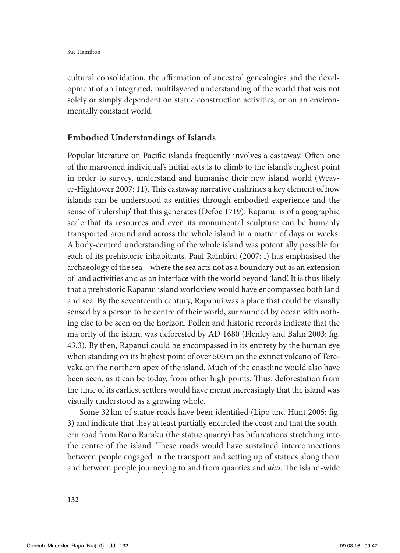cultural consolidation, the affirmation of ancestral genealogies and the development of an integrated, multilayered understanding of the world that was not solely or simply dependent on statue construction activities, or on an environmentally constant world.

### **Embodied Understandings of Islands**

Popular literature on Pacific islands frequently involves a castaway. Often one of the marooned individual's initial acts is to climb to the island's highest point in order to survey, understand and humanise their new island world (Weaver-Hightower 2007: 11). This castaway narrative enshrines a key element of how islands can be understood as entities through embodied experience and the sense of 'rulership' that this generates (Defoe 1719). Rapanui is of a geographic scale that its resources and even its monumental sculpture can be humanly transported around and across the whole island in a matter of days or weeks. A body-centred understanding of the whole island was potentially possible for each of its prehistoric inhabitants. Paul Rainbird (2007: i) has emphasised the archaeology of the sea – where the sea acts not as a boundary but as an extension of land activities and as an interface with the world beyond 'land'. It is thus likely that a prehistoric Rapanui island worldview would have encompassed both land and sea. By the seventeenth century, Rapanui was a place that could be visually sensed by a person to be centre of their world, surrounded by ocean with nothing else to be seen on the horizon. Pollen and historic records indicate that the majority of the island was deforested by AD 1680 (Flenley and Bahn 2003: fig. 43.3). By then, Rapanui could be encompassed in its entirety by the human eye when standing on its highest point of over 500m on the extinct volcano of Terevaka on the northern apex of the island. Much of the coastline would also have been seen, as it can be today, from other high points. Thus, deforestation from the time of its earliest settlers would have meant increasingly that the island was visually understood as a growing whole.

Some 32 km of statue roads have been identified (Lipo and Hunt 2005: fig. 3) and indicate that they at least partially encircled the coast and that the southern road from Rano Raraku (the statue quarry) has bifurcations stretching into the centre of the island. These roads would have sustained interconnections between people engaged in the transport and setting up of statues along them and between people journeying to and from quarries and *ahu*. The island-wide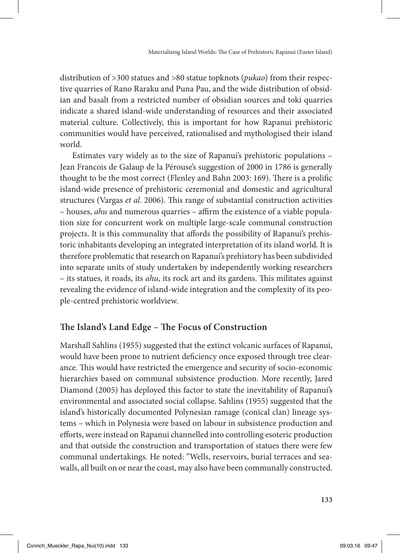distribution of >300 statues and >80 statue topknots (*pukao*) from their respective quarries of Rano Raraku and Puna Pau, and the wide distribution of obsidian and basalt from a restricted number of obsidian sources and toki quarries indicate a shared island-wide understanding of resources and their associated material culture. Collectively, this is important for how Rapanui prehistoric communities would have perceived, rationalised and mythologised their island world.

Estimates vary widely as to the size of Rapanui's prehistoric populations – Jean Francois de Galaup de la Pérouse's suggestion of 2000 in 1786 is generally thought to be the most correct (Flenley and Bahn 2003: 169). There is a prolific island-wide presence of prehistoric ceremonial and domestic and agricultural structures (Vargas *et al*. 2006). This range of substantial construction activities – houses, *ahu* and numerous quarries – affirm the existence of a viable population size for concurrent work on multiple large-scale communal construction projects. It is this communality that affords the possibility of Rapanui's prehistoric inhabitants developing an integrated interpretation of its island world. It is therefore problematic that research on Rapanui's prehistory has been subdivided into separate units of study undertaken by independently working researchers – its statues, it roads, its *ahu*, its rock art and its gardens. This militates against revealing the evidence of island-wide integration and the complexity of its people-centred prehistoric worldview.

## **The Island's Land Edge – The Focus of Construction**

Marshall Sahlins (1955) suggested that the extinct volcanic surfaces of Rapanui, would have been prone to nutrient deficiency once exposed through tree clearance. This would have restricted the emergence and security of socio-economic hierarchies based on communal subsistence production. More recently, Jared Diamond (2005) has deployed this factor to state the inevitability of Rapanui's environmental and associated social collapse. Sahlins (1955) suggested that the island's historically documented Polynesian ramage (conical clan) lineage systems – which in Polynesia were based on labour in subsistence production and efforts, were instead on Rapanui channelled into controlling esoteric production and that outside the construction and transportation of statues there were few communal undertakings. He noted: "Wells, reservoirs, burial terraces and seawalls, all built on or near the coast, may also have been communally constructed.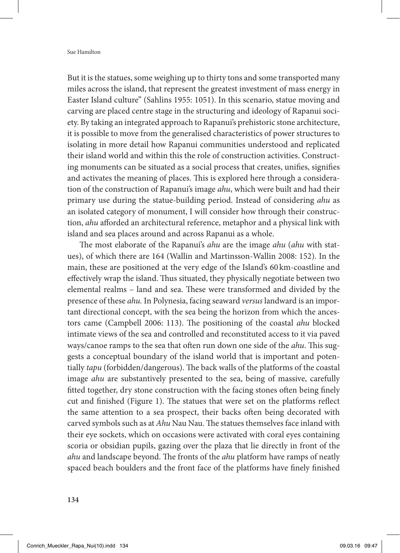But it is the statues, some weighing up to thirty tons and some transported many miles across the island, that represent the greatest investment of mass energy in Easter Island culture" (Sahlins 1955: 1051). In this scenario, statue moving and carving are placed centre stage in the structuring and ideology of Rapanui society. By taking an integrated approach to Rapanui's prehistoric stone architecture, it is possible to move from the generalised characteristics of power structures to isolating in more detail how Rapanui communities understood and replicated their island world and within this the role of construction activities. Constructing monuments can be situated as a social process that creates, unifies, signifies and activates the meaning of places. This is explored here through a consideration of the construction of Rapanui's image *ahu*, which were built and had their primary use during the statue-building period. Instead of considering *ahu* as an isolated category of monument, I will consider how through their construction, *ahu* afforded an architectural reference, metaphor and a physical link with island and sea places around and across Rapanui as a whole.

The most elaborate of the Rapanui's *ahu* are the image *ahu* (*ahu* with statues), of which there are 164 (Wallin and Martinsson-Wallin 2008: 152). In the main, these are positioned at the very edge of the Island's 60 km-coastline and effectively wrap the island. Thus situated, they physically negotiate between two elemental realms – land and sea. These were transformed and divided by the presence of these *ahu.* In Polynesia, facing seaward *versus* landward is an important directional concept, with the sea being the horizon from which the ancestors came (Campbell 2006: 113). The positioning of the coastal *ahu* blocked intimate views of the sea and controlled and reconstituted access to it via paved ways/canoe ramps to the sea that often run down one side of the *ahu*. This suggests a conceptual boundary of the island world that is important and potentially *tapu* (forbidden/dangerous). The back walls of the platforms of the coastal image *ahu* are substantively presented to the sea, being of massive, carefully fitted together, dry stone construction with the facing stones often being finely cut and finished (Figure 1). The statues that were set on the platforms reflect the same attention to a sea prospect, their backs often being decorated with carved symbols such as at *Ahu* Nau Nau. The statues themselves face inland with their eye sockets, which on occasions were activated with coral eyes containing scoria or obsidian pupils, gazing over the plaza that lie directly in front of the *ahu* and landscape beyond. The fronts of the *ahu* platform have ramps of neatly spaced beach boulders and the front face of the platforms have finely finished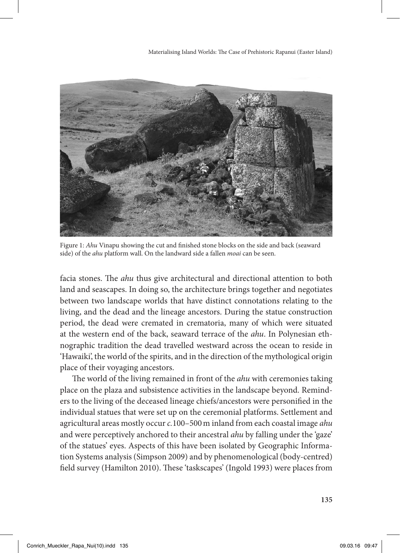Materialising Island Worlds: The Case of Prehistoric Rapanui (Easter Island)



Figure 1: Ahu Vinapu showing the cut and finished stone blocks on the side and back (seaward side) of the *ahu* platform wall. On the landward side a fallen *moai* can be seen.

facia stones. The *ahu* thus give architectural and directional attention to both land and seascapes. In doing so, the architecture brings together and negotiates between two landscape worlds that have distinct connotations relating to the living, and the dead and the lineage ancestors. During the statue construction period, the dead were cremated in crematoria, many of which were situated at the western end of the back, seaward terrace of the *ahu*. In Polynesian ethnographic tradition the dead travelled westward across the ocean to reside in 'Hawaiki', the world of the spirits, and in the direction of the mythological origin place of their voyaging ancestors.

The world of the living remained in front of the *ahu* with ceremonies taking place on the plaza and subsistence activities in the landscape beyond. Reminders to the living of the deceased lineage chiefs/ancestors were personified in the individual statues that were set up on the ceremonial platforms. Settlement and agricultural areas mostly occur *c.*100–500m inland from each coastal image *ahu* and were perceptively anchored to their ancestral *ahu* by falling under the 'gaze' of the statues' eyes. Aspects of this have been isolated by Geographic Information Systems analysis (Simpson 2009) and by phenomenological (body-centred) field survey (Hamilton 2010). These 'taskscapes' (Ingold 1993) were places from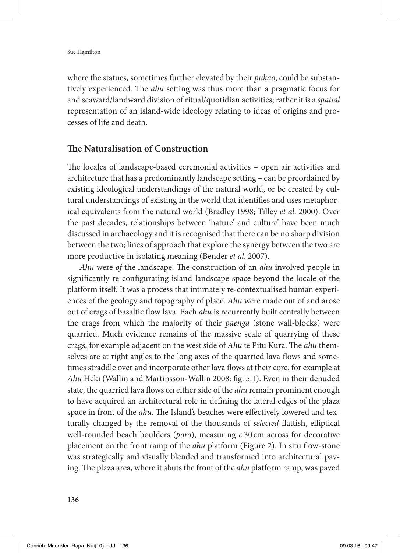where the statues, sometimes further elevated by their *pukao*, could be substantively experienced. The *ahu* setting was thus more than a pragmatic focus for and seaward/landward division of ritual/quotidian activities; rather it is a *spatial*  representation of an island-wide ideology relating to ideas of origins and processes of life and death.

#### **The Naturalisation of Construction**

The locales of landscape-based ceremonial activities – open air activities and architecture that has a predominantly landscape setting – can be preordained by existing ideological understandings of the natural world, or be created by cultural understandings of existing in the world that identifies and uses metaphorical equivalents from the natural world (Bradley 1998; Tilley *et al*. 2000). Over the past decades, relationships between 'nature' and culture' have been much discussed in archaeology and it is recognised that there can be no sharp division between the two; lines of approach that explore the synergy between the two are more productive in isolating meaning (Bender *et al*. 2007).

*Ahu* were *of* the landscape. The construction of an *ahu* involved people in significantly re-configurating island landscape space beyond the locale of the platform itself. It was a process that intimately re-contextualised human experiences of the geology and topography of place. *Ahu* were made out of and arose out of crags of basaltic flow lava. Each *ahu* is recurrently built centrally between the crags from which the majority of their *paenga* (stone wall-blocks) were quarried. Much evidence remains of the massive scale of quarrying of these crags, for example adjacent on the west side of *Ahu* te Pitu Kura. The *ahu* themselves are at right angles to the long axes of the quarried lava flows and sometimes straddle over and incorporate other lava flows at their core, for example at *Ahu* Heki (Wallin and Martinsson-Wallin 2008: fig. 5.1). Even in their denuded state, the quarried lava flows on either side of the *ahu* remain prominent enough to have acquired an architectural role in defining the lateral edges of the plaza space in front of the *ahu*. The Island's beaches were effectively lowered and texturally changed by the removal of the thousands of *selected* flattish, elliptical well-rounded beach boulders (*poro*), measuring *c*.30 cm across for decorative placement on the front ramp of the *ahu* platform (Figure 2). In situ flow-stone was strategically and visually blended and transformed into architectural paving. The plaza area, where it abuts the front of the *ahu* platform ramp, was paved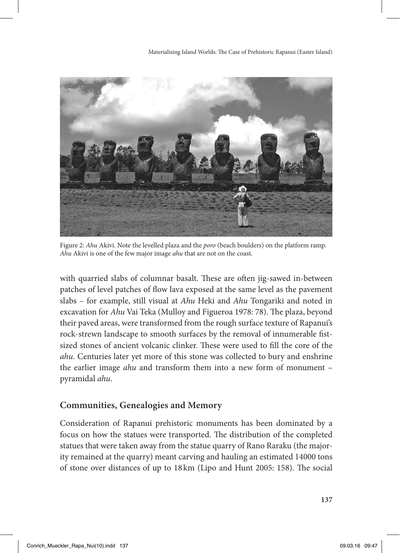Materialising Island Worlds: The Case of Prehistoric Rapanui (Easter Island)



Figure 2: *Ahu* Akivi. Note the levelled plaza and the *poro* (beach boulders) on the platform ramp. *Ahu* Akivi is one of the few major image *ahu* that are not on the coast.

with quarried slabs of columnar basalt. These are often jig-sawed in-between patches of level patches of flow lava exposed at the same level as the pavement slabs – for example, still visual at *Ahu* Heki and *Ahu* Tongariki and noted in excavation for *Ahu* Vai Teka (Mulloy and Figueroa 1978: 78). The plaza, beyond their paved areas, were transformed from the rough surface texture of Rapanui's rock-strewn landscape to smooth surfaces by the removal of innumerable fistsized stones of ancient volcanic clinker. These were used to fill the core of the *ahu*. Centuries later yet more of this stone was collected to bury and enshrine the earlier image *ahu* and transform them into a new form of monument – pyramidal *ahu*.

## **Communities, Genealogies and Memory**

Consideration of Rapanui prehistoric monuments has been dominated by a focus on how the statues were transported. The distribution of the completed statues that were taken away from the statue quarry of Rano Raraku (the majority remained at the quarry) meant carving and hauling an estimated 14000 tons of stone over distances of up to 18 km (Lipo and Hunt 2005: 158). The social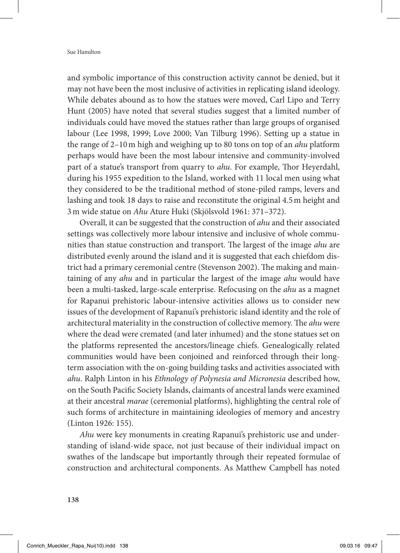and symbolic importance of this construction activity cannot be denied, but it may not have been the most inclusive of activities in replicating island ideology. While debates abound as to how the statues were moved, Carl Lipo and Terry Hunt (2005) have noted that several studies suggest that a limited number of individuals could have moved the statues rather than large groups of organised labour (Lee 1998, 1999; Love 2000; Van Tilburg 1996). Setting up a statue in the range of 2–10m high and weighing up to 80 tons on top of an *ahu* platform perhaps would have been the most labour intensive and community-involved part of a statue's transport from quarry to *ahu*. For example, Thor Heyerdahl, during his 1955 expedition to the Island, worked with 11 local men using what they considered to be the traditional method of stone-piled ramps, levers and lashing and took 18 days to raise and reconstitute the original 4.5m height and 3m wide statue on *Ahu* Ature Huki (Skjölsvold 1961: 371–372).

Overall, it can be suggested that the construction of *ahu* and their associated settings was collectively more labour intensive and inclusive of whole communities than statue construction and transport. The largest of the image *ahu* are distributed evenly around the island and it is suggested that each chiefdom district had a primary ceremonial centre (Stevenson 2002). The making and maintaining of any *ahu* and in particular the largest of the image *ahu* would have been a multi-tasked, large-scale enterprise. Refocusing on the *ahu* as a magnet for Rapanui prehistoric labour-intensive activities allows us to consider new issues of the development of Rapanui's prehistoric island identity and the role of architectural materiality in the construction of collective memory. The *ahu* were where the dead were cremated (and later inhumed) and the stone statues set on the platforms represented the ancestors/lineage chiefs. Genealogically related communities would have been conjoined and reinforced through their longterm association with the on-going building tasks and activities associated with *ahu*. Ralph Linton in his *Ethnology of Polynesia and Micronesia* described how, on the South Pacific Society Islands, claimants of ancestral lands were examined at their ancestral *marae* (ceremonial platforms), highlighting the central role of such forms of architecture in maintaining ideologies of memory and ancestry (Linton 1926: 155).

*Ahu* were key monuments in creating Rapanui's prehistoric use and understanding of island-wide space, not just because of their individual impact on swathes of the landscape but importantly through their repeated formulae of construction and architectural components. As Matthew Campbell has noted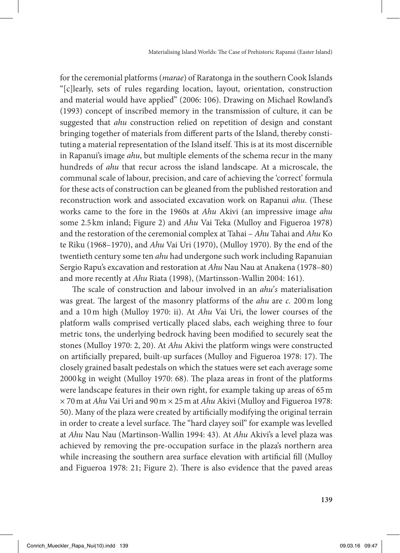for the ceremonial platforms (*marae*) of Raratonga in the southern Cook Islands "[c]learly, sets of rules regarding location, layout, orientation, construction and material would have applied" (2006: 106). Drawing on Michael Rowland's (1993) concept of inscribed memory in the transmission of culture, it can be suggested that *ahu* construction relied on repetition of design and constant bringing together of materials from different parts of the Island, thereby constituting a material representation of the Island itself. This is at its most discernible in Rapanui's image *ahu*, but multiple elements of the schema recur in the many hundreds of *ahu* that recur across the island landscape. At a microscale, the communal scale of labour, precision, and care of achieving the 'correct' formula for these acts of construction can be gleaned from the published restoration and reconstruction work and associated excavation work on Rapanui *ahu*. (These works came to the fore in the 1960s at *Ahu* Akivi (an impressive image *ahu* some 2.5 km inland; Figure 2) and *Ahu* Vai Teka (Mulloy and Figueroa 1978) and the restoration of the ceremonial complex at Tahai – *Ahu* Tahai and *Ahu* Ko te Riku (1968–1970), and *Ahu* Vai Uri (1970), (Mulloy 1970). By the end of the twentieth century some ten *ahu* had undergone such work including Rapanuian Sergio Rapu's excavation and restoration at *Ahu* Nau Nau at Anakena (1978–80) and more recently at *Ahu* Riata (1998), (Martinsson-Wallin 2004: 161).

The scale of construction and labour involved in an *ahu*'*s* materialisation was great. The largest of the masonry platforms of the *ahu* are *c.* 200m long and a 10m high (Mulloy 1970: ii). At *Ahu* Vai Uri, the lower courses of the platform walls comprised vertically placed slabs, each weighing three to four metric tons, the underlying bedrock having been modified to securely seat the stones (Mulloy 1970: 2, 20). At *Ahu* Akivi the platform wings were constructed on artificially prepared, built-up surfaces (Mulloy and Figueroa 1978: 17). The closely grained basalt pedestals on which the statues were set each average some 2000 kg in weight (Mulloy 1970: 68). The plaza areas in front of the platforms were landscape features in their own right, for example taking up areas of 65m × 70m at *Ahu* Vai Uri and 90m × 25m at *Ahu* Akivi (Mulloy and Figueroa 1978: 50). Many of the plaza were created by artificially modifying the original terrain in order to create a level surface. The "hard clayey soil" for example was levelled at *Ahu* Nau Nau (Martinson-Wallin 1994: 43). At *Ahu* Akivi's a level plaza was achieved by removing the pre-occupation surface in the plaza's northern area while increasing the southern area surface elevation with artificial fill (Mulloy and Figueroa 1978: 21; Figure 2). There is also evidence that the paved areas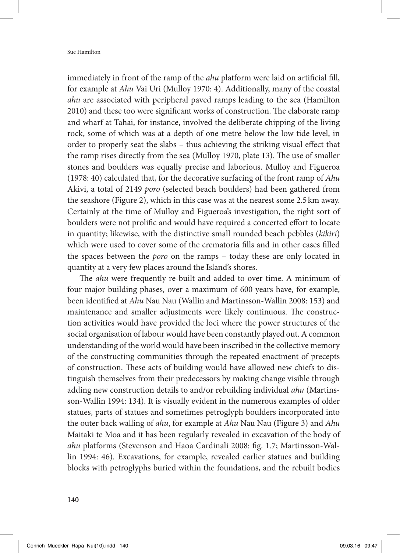immediately in front of the ramp of the *ahu* platform were laid on artificial fill, for example at *Ahu* Vai Uri (Mulloy 1970: 4). Additionally, many of the coastal *ahu* are associated with peripheral paved ramps leading to the sea (Hamilton 2010) and these too were significant works of construction. The elaborate ramp and wharf at Tahai, for instance, involved the deliberate chipping of the living rock, some of which was at a depth of one metre below the low tide level, in order to properly seat the slabs – thus achieving the striking visual effect that the ramp rises directly from the sea (Mulloy 1970, plate 13). The use of smaller stones and boulders was equally precise and laborious. Mulloy and Figueroa (1978: 40) calculated that, for the decorative surfacing of the front ramp of *Ahu* Akivi, a total of 2149 *poro* (selected beach boulders) had been gathered from the seashore (Figure 2), which in this case was at the nearest some 2.5km away. Certainly at the time of Mulloy and Figueroa's investigation, the right sort of boulders were not prolific and would have required a concerted effort to locate in quantity; likewise, with the distinctive small rounded beach pebbles (*kikiri*) which were used to cover some of the crematoria fills and in other cases filled the spaces between the *poro* on the ramps – today these are only located in quantity at a very few places around the Island's shores.

The *ahu* were frequently re-built and added to over time. A minimum of four major building phases, over a maximum of 600 years have, for example, been identified at *Ahu* Nau Nau (Wallin and Martinsson-Wallin 2008: 153) and maintenance and smaller adjustments were likely continuous. The construction activities would have provided the loci where the power structures of the social organisation of labour would have been constantly played out. A common understanding of the world would have been inscribed in the collective memory of the constructing communities through the repeated enactment of precepts of construction. These acts of building would have allowed new chiefs to distinguish themselves from their predecessors by making change visible through adding new construction details to and/or rebuilding individual *ahu* (Martinsson-Wallin 1994: 134). It is visually evident in the numerous examples of older statues, parts of statues and sometimes petroglyph boulders incorporated into the outer back walling of *ahu*, for example at *Ahu* Nau Nau (Figure 3) and *Ahu* Maitaki te Moa and it has been regularly revealed in excavation of the body of *ahu* platforms (Stevenson and Haoa Cardinali 2008: fig. 1.7; Martinsson-Wallin 1994: 46). Excavations, for example, revealed earlier statues and building blocks with petroglyphs buried within the foundations, and the rebuilt bodies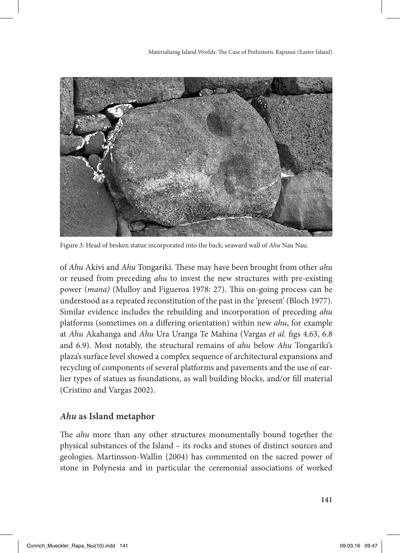Materialising Island Worlds: The Case of Prehistoric Rapanui (Easter Island)



Figure 3: Head of broken statue incorporated into the back, seaward wall of *Ahu* Nau Nau.

of *Ahu* Akivi and *Ahu* Tongariki. These may have been brought from other *ahu*  or reused from preceding *ahu* to invest the new structures with pre-existing power (*mana)* (Mulloy and Figueroa 1978: 27). This on-going process can be understood as a repeated reconstitution of the past in the 'present' (Bloch 1977). Similar evidence includes the rebuilding and incorporation of preceding *ahu* platforms (sometimes on a differing orientation) within new *ahu*, for example at *Ahu* Akahanga and *Ahu* Ura Uranga Te Mahina (Vargas *et al.* figs 4.63, 6.8 and 6.9). Most notably, the structural remains of *ahu* below *Ahu* Tongariki's plaza's surface level showed a complex sequence of architectural expansions and recycling of components of several platforms and pavements and the use of earlier types of statues as foundations, as wall building blocks, and/or fill material (Cristino and Vargas 2002).

#### *Ahu* **as Island metaphor**

The *ahu* more than any other structures monumentally bound together the physical substances of the Island – its rocks and stones of distinct sources and geologies. Martinsson-Wallin (2004) has commented on the sacred power of stone in Polynesia and in particular the ceremonial associations of worked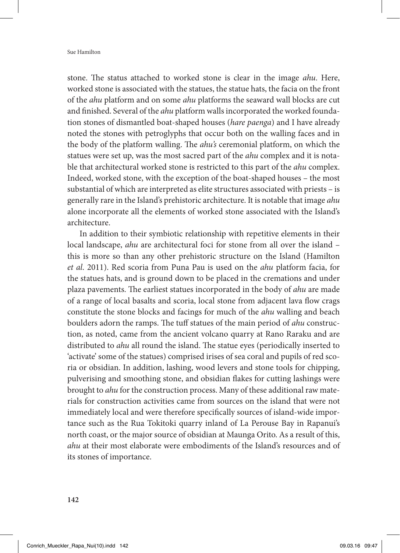stone. The status attached to worked stone is clear in the image *ahu*. Here, worked stone is associated with the statues, the statue hats, the facia on the front of the *ahu* platform and on some *ahu* platforms the seaward wall blocks are cut and finished. Several of the *ahu* platform walls incorporated the worked foundation stones of dismantled boat-shaped houses (*hare paenga*) and I have already noted the stones with petroglyphs that occur both on the walling faces and in the body of the platform walling. The *ahu's* ceremonial platform, on which the statues were set up, was the most sacred part of the *ahu* complex and it is notable that architectural worked stone is restricted to this part of the *ahu* complex. Indeed, worked stone, with the exception of the boat-shaped houses – the most substantial of which are interpreted as elite structures associated with priests – is generally rare in the Island's prehistoric architecture. It is notable that image *ahu* alone incorporate all the elements of worked stone associated with the Island's architecture.

In addition to their symbiotic relationship with repetitive elements in their local landscape, *ahu* are architectural foci for stone from all over the island – this is more so than any other prehistoric structure on the Island (Hamilton *et al*. 2011). Red scoria from Puna Pau is used on the *ahu* platform facia, for the statues hats, and is ground down to be placed in the cremations and under plaza pavements. The earliest statues incorporated in the body of *ahu* are made of a range of local basalts and scoria, local stone from adjacent lava flow crags constitute the stone blocks and facings for much of the *ahu* walling and beach boulders adorn the ramps. The tuff statues of the main period of *ahu* construction, as noted, came from the ancient volcano quarry at Rano Raraku and are distributed to *ahu* all round the island. The statue eyes (periodically inserted to 'activate' some of the statues) comprised irises of sea coral and pupils of red scoria or obsidian. In addition, lashing, wood levers and stone tools for chipping, pulverising and smoothing stone, and obsidian flakes for cutting lashings were brought to *ahu* for the construction process. Many of these additional raw materials for construction activities came from sources on the island that were not immediately local and were therefore specifically sources of island-wide importance such as the Rua Tokitoki quarry inland of La Perouse Bay in Rapanui's north coast, or the major source of obsidian at Maunga Orito. As a result of this, *ahu* at their most elaborate were embodiments of the Island's resources and of its stones of importance.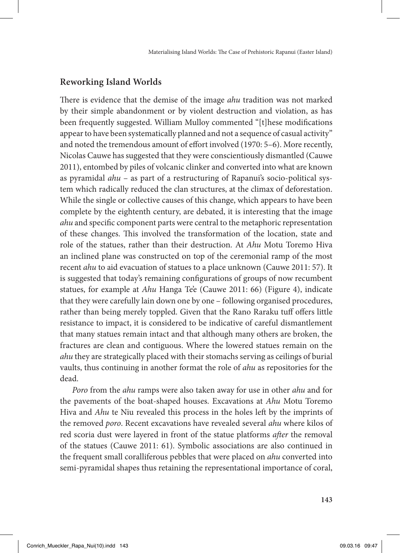#### **Reworking Island Worlds**

There is evidence that the demise of the image *ahu* tradition was not marked by their simple abandonment or by violent destruction and violation, as has been frequently suggested. William Mulloy commented "[t]hese modifications appear to have been systematically planned and not a sequence of casual activity" and noted the tremendous amount of effort involved (1970: 5–6). More recently, Nicolas Cauwe has suggested that they were conscientiously dismantled (Cauwe 2011), entombed by piles of volcanic clinker and converted into what are known as pyramidal *ahu* – as part of a restructuring of Rapanui's socio-political system which radically reduced the clan structures, at the climax of deforestation. While the single or collective causes of this change, which appears to have been complete by the eightenth century, are debated, it is interesting that the image *ahu* and specific component parts were central to the metaphoric representation of these changes. This involved the transformation of the location, state and role of the statues, rather than their destruction. At *Ahu* Motu Toremo Hiva an inclined plane was constructed on top of the ceremonial ramp of the most recent *ahu* to aid evacuation of statues to a place unknown (Cauwe 2011: 57). It is suggested that today's remaining configurations of groups of now recumbent statues, for example at *Ahu* Hanga Te'e (Cauwe 2011: 66) (Figure 4), indicate that they were carefully lain down one by one – following organised procedures, rather than being merely toppled. Given that the Rano Raraku tuff offers little resistance to impact, it is considered to be indicative of careful dismantlement that many statues remain intact and that although many others are broken, the fractures are clean and contiguous. Where the lowered statues remain on the *ahu* they are strategically placed with their stomachs serving as ceilings of burial vaults, thus continuing in another format the role of *ahu* as repositories for the dead.

*Poro* from the *ahu* ramps were also taken away for use in other *ahu* and for the pavements of the boat-shaped houses. Excavations at *Ahu* Motu Toremo Hiva and *Ahu* te Niu revealed this process in the holes left by the imprints of the removed *poro*. Recent excavations have revealed several *ahu* where kilos of red scoria dust were layered in front of the statue platforms *after* the removal of the statues (Cauwe 2011: 61). Symbolic associations are also continued in the frequent small coralliferous pebbles that were placed on *ahu* converted into semi-pyramidal shapes thus retaining the representational importance of coral,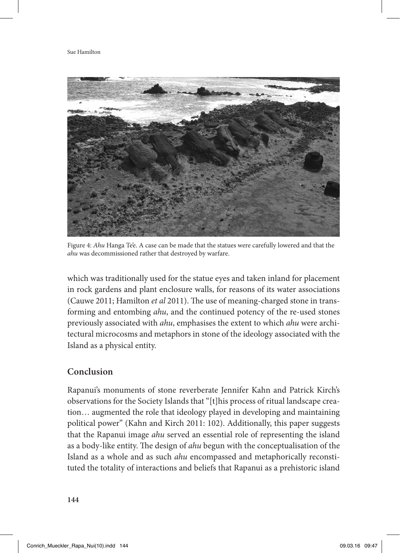

Figure 4: Ahu Hanga Te'e. A case can be made that the statues were carefully lowered and that the *ahu* was decommissioned rather that destroyed by warfare.

which was traditionally used for the statue eyes and taken inland for placement in rock gardens and plant enclosure walls, for reasons of its water associations (Cauwe 2011; Hamilton *et al* 2011). The use of meaning-charged stone in transforming and entombing *ahu*, and the continued potency of the re-used stones previously associated with *ahu*, emphasises the extent to which *ahu* were architectural microcosms and metaphors in stone of the ideology associated with the Island as a physical entity.

## **Conclusion**

Rapanui's monuments of stone reverberate Jennifer Kahn and Patrick Kirch's observations for the Society Islands that "[t]his process of ritual landscape creation… augmented the role that ideology played in developing and maintaining political power" (Kahn and Kirch 2011: 102). Additionally, this paper suggests that the Rapanui image *ahu* served an essential role of representing the island as a body-like entity. The design of *ahu* begun with the conceptualisation of the Island as a whole and as such *ahu* encompassed and metaphorically reconstituted the totality of interactions and beliefs that Rapanui as a prehistoric island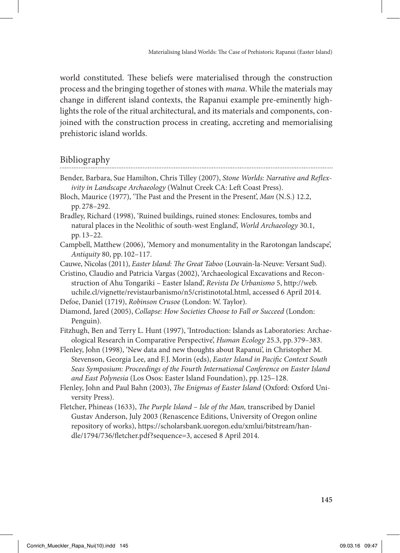world constituted. These beliefs were materialised through the construction process and the bringing together of stones with *mana*. While the materials may change in different island contexts, the Rapanui example pre-eminently highlights the role of the ritual architectural, and its materials and components, conjoined with the construction process in creating, accreting and memorialising prehistoric island worlds.

### Bibliography

- 
- Bender, Barbara, Sue Hamilton, Chris Tilley (2007), *Stone Worlds: Narrative and Reflexivity in Landscape Archaeology* (Walnut Creek CA: Left Coast Press).
- Bloch, Maurice (1977), 'The Past and the Present in the Present', *Man* (N. S.) 12.2, pp. 278–292.
- Bradley, Richard (1998), 'Ruined buildings, ruined stones: Enclosures, tombs and natural places in the Neolithic of south-west England', *World Archaeology* 30.1, pp. 13–22.
- Campbell, Matthew (2006), 'Memory and monumentality in the Rarotongan landscape', *Antiquity* 80, pp. 102–117.
- Cauwe, Nicolas (2011), *Easter Island: The Great Taboo* (Louvain-la-Neuve: Versant Sud).

Cristino, Claudio and Patricia Vargas (2002), 'Archaeological Excavations and Reconstruction of Ahu Tongariki – Easter Island', *Revista De Urbanismo* 5, http://web. uchile.cl/vignette/revistaurbanismo/n5/cristinototal.html, accessed 6 April 2014.

- Defoe, Daniel (1719), *Robinson Crusoe* (London: W. Taylor).
- Diamond, Jared (2005), *Collapse: How Societies Choose to Fall or Succeed* (London: Penguin).

Fitzhugh, Ben and Terry L. Hunt (1997), 'Introduction: Islands as Laboratories: Archaeological Research in Comparative Perspective', *Human Ecology* 25.3, pp. 379–383.

- Flenley, John (1998), 'New data and new thoughts about Rapanui', in Christopher M. Stevenson, Georgia Lee, and F. J. Morin (eds), *Easter Island in Pacific Context South Seas Symposium: Proceedings of the Fourth International Conference on Easter Island and East Polynesia* (Los Osos: Easter Island Foundation), pp. 125–128.
- Flenley, John and Paul Bahn (2003), *The Enigmas of Easter Island* (Oxford: Oxford University Press).
- Fletcher, Phineas (1633), *The Purple Island Isle of the Man,* transcribed by Daniel Gustav Anderson, July 2003 (Renascence Editions, University of Oregon online repository of works), https://scholarsbank.uoregon.edu/xmlui/bitstream/handle/1794/736/fletcher.pdf?sequence=3, accesed 8 April 2014.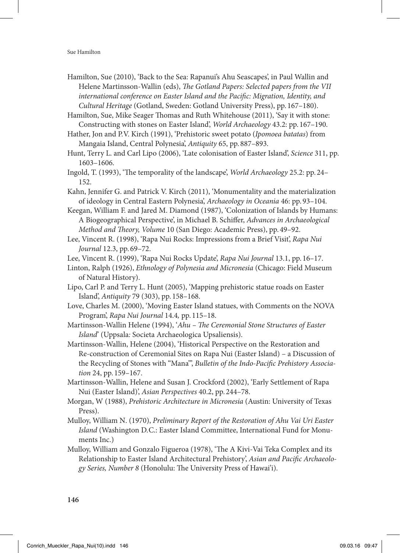Hamilton, Sue (2010), 'Back to the Sea: Rapanui's Ahu Seascapes', in Paul Wallin and Helene Martinsson-Wallin (eds), *The Gotland Papers: Selected papers from the VII international conference on Easter Island and the Pacific: Migration, Identity, and Cultural Heritage* (Gotland, Sweden: Gotland University Press), pp. 167–180).

Hamilton, Sue, Mike Seager Thomas and Ruth Whitehouse (2011), 'Say it with stone: Constructing with stones on Easter Island', *World Archaeology* 43.2: pp. 167–190.

Hather, Jon and P. V. Kirch (1991), 'Prehistoric sweet potato (*Ipomoea batatas*) from Mangaia Island, Central Polynesia', *Antiquity* 65, pp. 887–893.

Hunt, Terry L. and Carl Lipo (2006), 'Late colonisation of Easter Island', *Science* 311, pp. 1603–1606.

Ingold, T. (1993), 'The temporality of the landscape', *World Archaeology* 25.2: pp. 24– 152.

Kahn, Jennifer G. and Patrick V. Kirch (2011), 'Monumentality and the materialization of ideology in Central Eastern Polynesia', *Archaeology in Oceania* 46: pp. 93–104.

Keegan, William F. and Jared M. Diamond (1987), 'Colonization of Islands by Humans: A Biogeographical Perspective', in Michael B. Schiffer, *Advances in Archaeological Method and Theory, Volume* 10 (San Diego: Academic Press), pp. 49–92.

Lee, Vincent R. (1998), 'Rapa Nui Rocks: Impressions from a Brief Visit', *Rapa Nui Journal* 12.3, pp. 69–72.

Lee, Vincent R. (1999), 'Rapa Nui Rocks Update', *Rapa Nui Journal* 13.1, pp. 16–17.

- Linton, Ralph (1926), *Ethnology of Polynesia and Micronesia* (Chicago: Field Museum of Natural History).
- Lipo, Carl P. and Terry L. Hunt (2005), 'Mapping prehistoric statue roads on Easter Island', *Antiquity* 79 (303), pp. 158–168.
- Love, Charles M. (2000), 'Moving Easter Island statues, with Comments on the NOVA Program', *Rapa Nui Journal* 14.4*,* pp. 115–18.
- Martinsson-Wallin Helene (1994), '*Ahu The Ceremonial Stone Structures of Easter Island*' (Uppsala*:* Societa Archaeologica Upsaliensis).
- Martinsson-Wallin, Helene (2004), 'Historical Perspective on the Restoration and Re-construction of Ceremonial Sites on Rapa Nui (Easter Island) – a Discussion of the Recycling of Stones with "Mana"', *Bulletin of the Indo-Pacific Prehistory Association* 24, pp. 159–167.
- Martinsson-Wallin, Helene and Susan J. Crockford (2002), 'Early Settlement of Rapa Nui (Easter Island)', *Asian Perspectives* 40.2, pp. 244–78.
- Morgan, W (1988), *Prehistoric Architecture in Micronesia* (Austin: University of Texas Press).
- Mulloy, William N. (1970), *Preliminary Report of the Restoration of Ahu Vai Uri Easter Island* (Washington D.C.: Easter Island Committee, International Fund for Monuments Inc.)
- Mulloy, William and Gonzalo Figueroa (1978), 'The A Kivi-Vai Teka Complex and its Relationship to Easter Island Architectural Prehistory', *Asian and Pacific Archaeology Series, Number 8* (Honolulu: The University Press of Hawai'i).

**146**